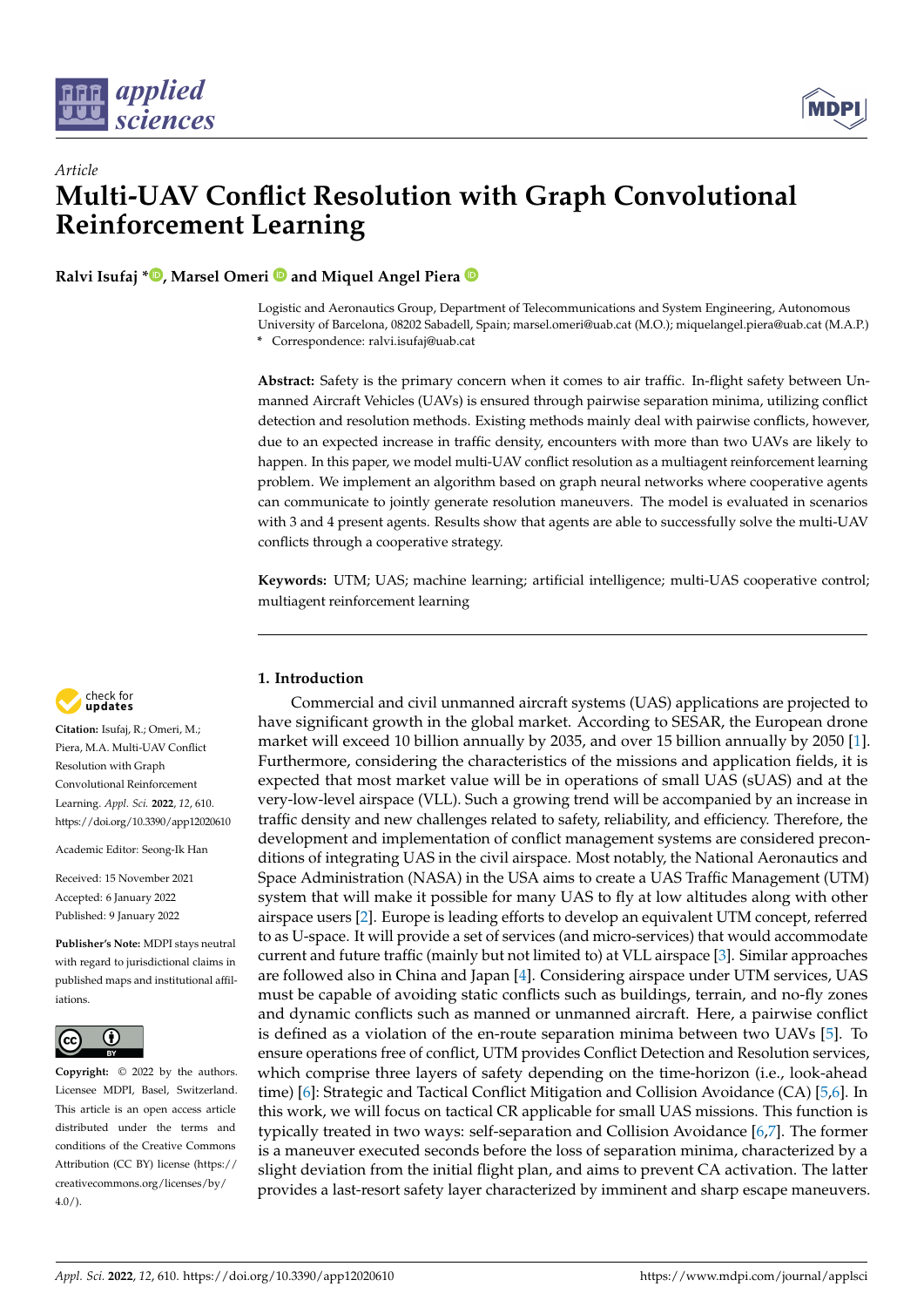



# *Article* **Multi-UAV Conflict Resolution with Graph Convolutional Reinforcement Learning**

**Ralvi Isufaj [\\*](https://orcid.org/0000-0003-0839-3235) , Marsel Omeri and Miquel Angel Piera**

Logistic and Aeronautics Group, Department of Telecommunications and System Engineering, Autonomous University of Barcelona, 08202 Sabadell, Spain; marsel.omeri@uab.cat (M.O.); miquelangel.piera@uab.cat (M.A.P.) **\*** Correspondence: ralvi.isufaj@uab.cat

**Abstract:** Safety is the primary concern when it comes to air traffic. In-flight safety between Unmanned Aircraft Vehicles (UAVs) is ensured through pairwise separation minima, utilizing conflict detection and resolution methods. Existing methods mainly deal with pairwise conflicts, however, due to an expected increase in traffic density, encounters with more than two UAVs are likely to happen. In this paper, we model multi-UAV conflict resolution as a multiagent reinforcement learning problem. We implement an algorithm based on graph neural networks where cooperative agents can communicate to jointly generate resolution maneuvers. The model is evaluated in scenarios with 3 and 4 present agents. Results show that agents are able to successfully solve the multi-UAV conflicts through a cooperative strategy.

**Keywords:** UTM; UAS; machine learning; artificial intelligence; multi-UAS cooperative control; multiagent reinforcement learning

# **1. Introduction**

Commercial and civil unmanned aircraft systems (UAS) applications are projected to have significant growth in the global market. According to SESAR, the European drone market will exceed 10 billion annually by 2035, and over 15 billion annually by 2050 [\[1\]](#page-12-0). Furthermore, considering the characteristics of the missions and application fields, it is expected that most market value will be in operations of small UAS (sUAS) and at the very-low-level airspace (VLL). Such a growing trend will be accompanied by an increase in traffic density and new challenges related to safety, reliability, and efficiency. Therefore, the development and implementation of conflict management systems are considered preconditions of integrating UAS in the civil airspace. Most notably, the National Aeronautics and Space Administration (NASA) in the USA aims to create a UAS Traffic Management (UTM) system that will make it possible for many UAS to fly at low altitudes along with other airspace users [\[2\]](#page-12-1). Europe is leading efforts to develop an equivalent UTM concept, referred to as U-space. It will provide a set of services (and micro-services) that would accommodate current and future traffic (mainly but not limited to) at VLL airspace [\[3\]](#page-12-2). Similar approaches are followed also in China and Japan [\[4\]](#page-12-3). Considering airspace under UTM services, UAS must be capable of avoiding static conflicts such as buildings, terrain, and no-fly zones and dynamic conflicts such as manned or unmanned aircraft. Here, a pairwise conflict is defined as a violation of the en-route separation minima between two UAVs [\[5\]](#page-12-4). To ensure operations free of conflict, UTM provides Conflict Detection and Resolution services, which comprise three layers of safety depending on the time-horizon (i.e., look-ahead time) [\[6\]](#page-12-5): Strategic and Tactical Conflict Mitigation and Collision Avoidance (CA) [\[5,](#page-12-4)[6\]](#page-12-5). In this work, we will focus on tactical CR applicable for small UAS missions. This function is typically treated in two ways: self-separation and Collision Avoidance [\[6,](#page-12-5)[7\]](#page-12-6). The former is a maneuver executed seconds before the loss of separation minima, characterized by a slight deviation from the initial flight plan, and aims to prevent CA activation. The latter provides a last-resort safety layer characterized by imminent and sharp escape maneuvers.



**Citation:** Isufaj, R.; Omeri, M.; Piera, M.A. Multi-UAV Conflict Resolution with Graph Convolutional Reinforcement Learning. *Appl. Sci.* **2022**, *12*, 610. <https://doi.org/10.3390/app12020610>

Academic Editor: Seong-Ik Han

Received: 15 November 2021 Accepted: 6 January 2022 Published: 9 January 2022

**Publisher's Note:** MDPI stays neutral with regard to jurisdictional claims in published maps and institutional affiliations.



**Copyright:** © 2022 by the authors. Licensee MDPI, Basel, Switzerland. This article is an open access article distributed under the terms and conditions of the Creative Commons Attribution (CC BY) license [\(https://](https://creativecommons.org/licenses/by/4.0/) [creativecommons.org/licenses/by/](https://creativecommons.org/licenses/by/4.0/)  $4.0/$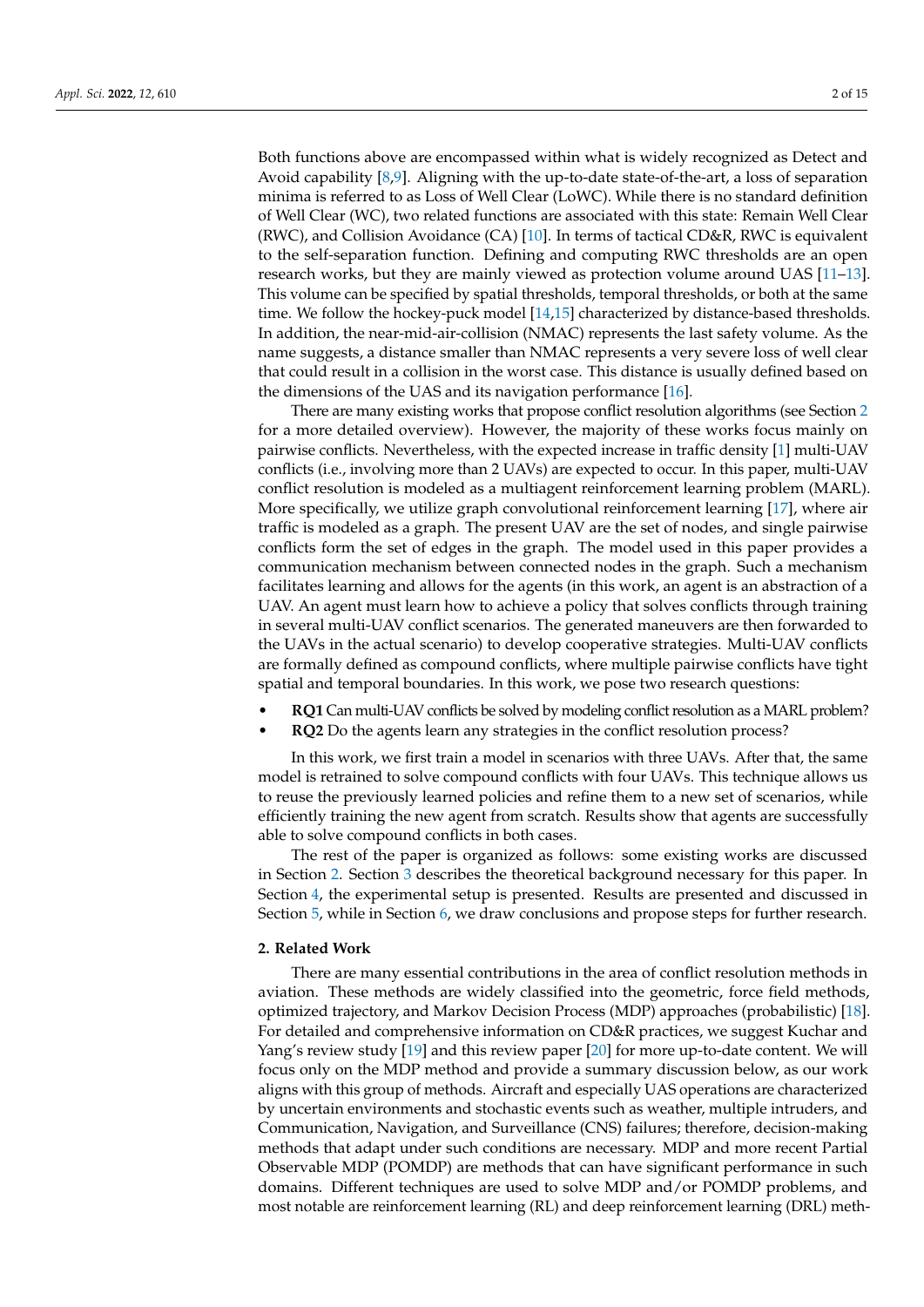Both functions above are encompassed within what is widely recognized as Detect and Avoid capability [\[8](#page-12-7)[,9\]](#page-12-8). Aligning with the up-to-date state-of-the-art, a loss of separation minima is referred to as Loss of Well Clear (LoWC). While there is no standard definition of Well Clear (WC), two related functions are associated with this state: Remain Well Clear (RWC), and Collision Avoidance (CA) [\[10\]](#page-12-9). In terms of tactical CD&R, RWC is equivalent to the self-separation function. Defining and computing RWC thresholds are an open research works, but they are mainly viewed as protection volume around UAS [\[11](#page-12-10)[–13\]](#page-13-0). This volume can be specified by spatial thresholds, temporal thresholds, or both at the same time. We follow the hockey-puck model [\[14](#page-13-1)[,15\]](#page-13-2) characterized by distance-based thresholds. In addition, the near-mid-air-collision (NMAC) represents the last safety volume. As the name suggests, a distance smaller than NMAC represents a very severe loss of well clear that could result in a collision in the worst case. This distance is usually defined based on the dimensions of the UAS and its navigation performance [\[16\]](#page-13-3).

There are many existing works that propose conflict resolution algorithms (see Section [2](#page-1-0) for a more detailed overview). However, the majority of these works focus mainly on pairwise conflicts. Nevertheless, with the expected increase in traffic density [\[1\]](#page-12-0) multi-UAV conflicts (i.e., involving more than 2 UAVs) are expected to occur. In this paper, multi-UAV conflict resolution is modeled as a multiagent reinforcement learning problem (MARL). More specifically, we utilize graph convolutional reinforcement learning [\[17\]](#page-13-4), where air traffic is modeled as a graph. The present UAV are the set of nodes, and single pairwise conflicts form the set of edges in the graph. The model used in this paper provides a communication mechanism between connected nodes in the graph. Such a mechanism facilitates learning and allows for the agents (in this work, an agent is an abstraction of a UAV. An agent must learn how to achieve a policy that solves conflicts through training in several multi-UAV conflict scenarios. The generated maneuvers are then forwarded to the UAVs in the actual scenario) to develop cooperative strategies. Multi-UAV conflicts are formally defined as compound conflicts, where multiple pairwise conflicts have tight spatial and temporal boundaries. In this work, we pose two research questions:

- **RQ1** Can multi-UAV conflicts be solved by modeling conflict resolution as a MARL problem?
- **RQ2** Do the agents learn any strategies in the conflict resolution process?

In this work, we first train a model in scenarios with three UAVs. After that, the same model is retrained to solve compound conflicts with four UAVs. This technique allows us to reuse the previously learned policies and refine them to a new set of scenarios, while efficiently training the new agent from scratch. Results show that agents are successfully able to solve compound conflicts in both cases.

The rest of the paper is organized as follows: some existing works are discussed in Section [2.](#page-1-0) Section [3](#page-2-0) describes the theoretical background necessary for this paper. In Section [4,](#page-5-0) the experimental setup is presented. Results are presented and discussed in Section [5,](#page-8-0) while in Section [6,](#page-11-0) we draw conclusions and propose steps for further research.

#### <span id="page-1-0"></span>**2. Related Work**

There are many essential contributions in the area of conflict resolution methods in aviation. These methods are widely classified into the geometric, force field methods, optimized trajectory, and Markov Decision Process (MDP) approaches (probabilistic) [\[18\]](#page-13-5). For detailed and comprehensive information on CD&R practices, we suggest Kuchar and Yang's review study [\[19\]](#page-13-6) and this review paper [\[20\]](#page-13-7) for more up-to-date content. We will focus only on the MDP method and provide a summary discussion below, as our work aligns with this group of methods. Aircraft and especially UAS operations are characterized by uncertain environments and stochastic events such as weather, multiple intruders, and Communication, Navigation, and Surveillance (CNS) failures; therefore, decision-making methods that adapt under such conditions are necessary. MDP and more recent Partial Observable MDP (POMDP) are methods that can have significant performance in such domains. Different techniques are used to solve MDP and/or POMDP problems, and most notable are reinforcement learning (RL) and deep reinforcement learning (DRL) meth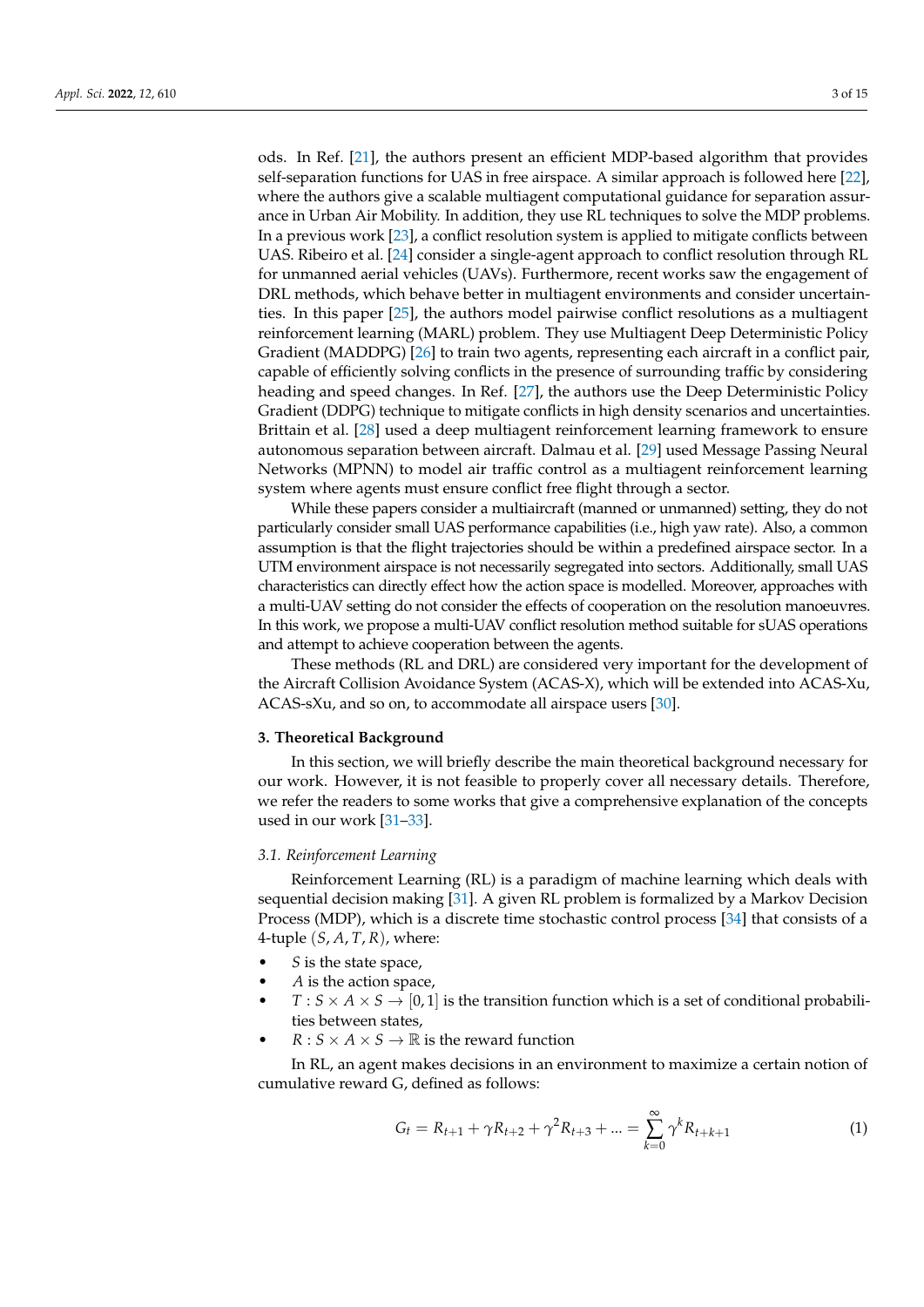ods. In Ref. [\[21\]](#page-13-8), the authors present an efficient MDP-based algorithm that provides self-separation functions for UAS in free airspace. A similar approach is followed here [\[22\]](#page-13-9), where the authors give a scalable multiagent computational guidance for separation assurance in Urban Air Mobility. In addition, they use RL techniques to solve the MDP problems. In a previous work [\[23\]](#page-13-10), a conflict resolution system is applied to mitigate conflicts between UAS. Ribeiro et al. [\[24\]](#page-13-11) consider a single-agent approach to conflict resolution through RL for unmanned aerial vehicles (UAVs). Furthermore, recent works saw the engagement of DRL methods, which behave better in multiagent environments and consider uncertainties. In this paper [\[25\]](#page-13-12), the authors model pairwise conflict resolutions as a multiagent reinforcement learning (MARL) problem. They use Multiagent Deep Deterministic Policy Gradient (MADDPG) [\[26\]](#page-13-13) to train two agents, representing each aircraft in a conflict pair, capable of efficiently solving conflicts in the presence of surrounding traffic by considering heading and speed changes. In Ref. [\[27\]](#page-13-14), the authors use the Deep Deterministic Policy Gradient (DDPG) technique to mitigate conflicts in high density scenarios and uncertainties. Brittain et al. [\[28\]](#page-13-15) used a deep multiagent reinforcement learning framework to ensure autonomous separation between aircraft. Dalmau et al. [\[29\]](#page-13-16) used Message Passing Neural Networks (MPNN) to model air traffic control as a multiagent reinforcement learning system where agents must ensure conflict free flight through a sector.

While these papers consider a multiaircraft (manned or unmanned) setting, they do not particularly consider small UAS performance capabilities (i.e., high yaw rate). Also, a common assumption is that the flight trajectories should be within a predefined airspace sector. In a UTM environment airspace is not necessarily segregated into sectors. Additionally, small UAS characteristics can directly effect how the action space is modelled. Moreover, approaches with a multi-UAV setting do not consider the effects of cooperation on the resolution manoeuvres. In this work, we propose a multi-UAV conflict resolution method suitable for sUAS operations and attempt to achieve cooperation between the agents.

These methods (RL and DRL) are considered very important for the development of the Aircraft Collision Avoidance System (ACAS-X), which will be extended into ACAS-Xu, ACAS-sXu, and so on, to accommodate all airspace users [\[30\]](#page-13-17).

#### <span id="page-2-0"></span>**3. Theoretical Background**

In this section, we will briefly describe the main theoretical background necessary for our work. However, it is not feasible to properly cover all necessary details. Therefore, we refer the readers to some works that give a comprehensive explanation of the concepts used in our work [\[31](#page-13-18)[–33\]](#page-13-19).

### *3.1. Reinforcement Learning*

Reinforcement Learning (RL) is a paradigm of machine learning which deals with sequential decision making [\[31\]](#page-13-18). A given RL problem is formalized by a Markov Decision Process (MDP), which is a discrete time stochastic control process [\[34\]](#page-13-20) that consists of a 4-tuple (*S*, *A*, *T*, *R*), where:

- *S* is the state space,
- *A* is the action space,
- $T : S \times A \times S \rightarrow [0,1]$  is the transition function which is a set of conditional probabilities between states,
- $R: S \times A \times S \rightarrow \mathbb{R}$  is the reward function

In RL, an agent makes decisions in an environment to maximize a certain notion of cumulative reward G, defined as follows:

$$
G_t = R_{t+1} + \gamma R_{t+2} + \gamma^2 R_{t+3} + \dots = \sum_{k=0}^{\infty} \gamma^k R_{t+k+1}
$$
 (1)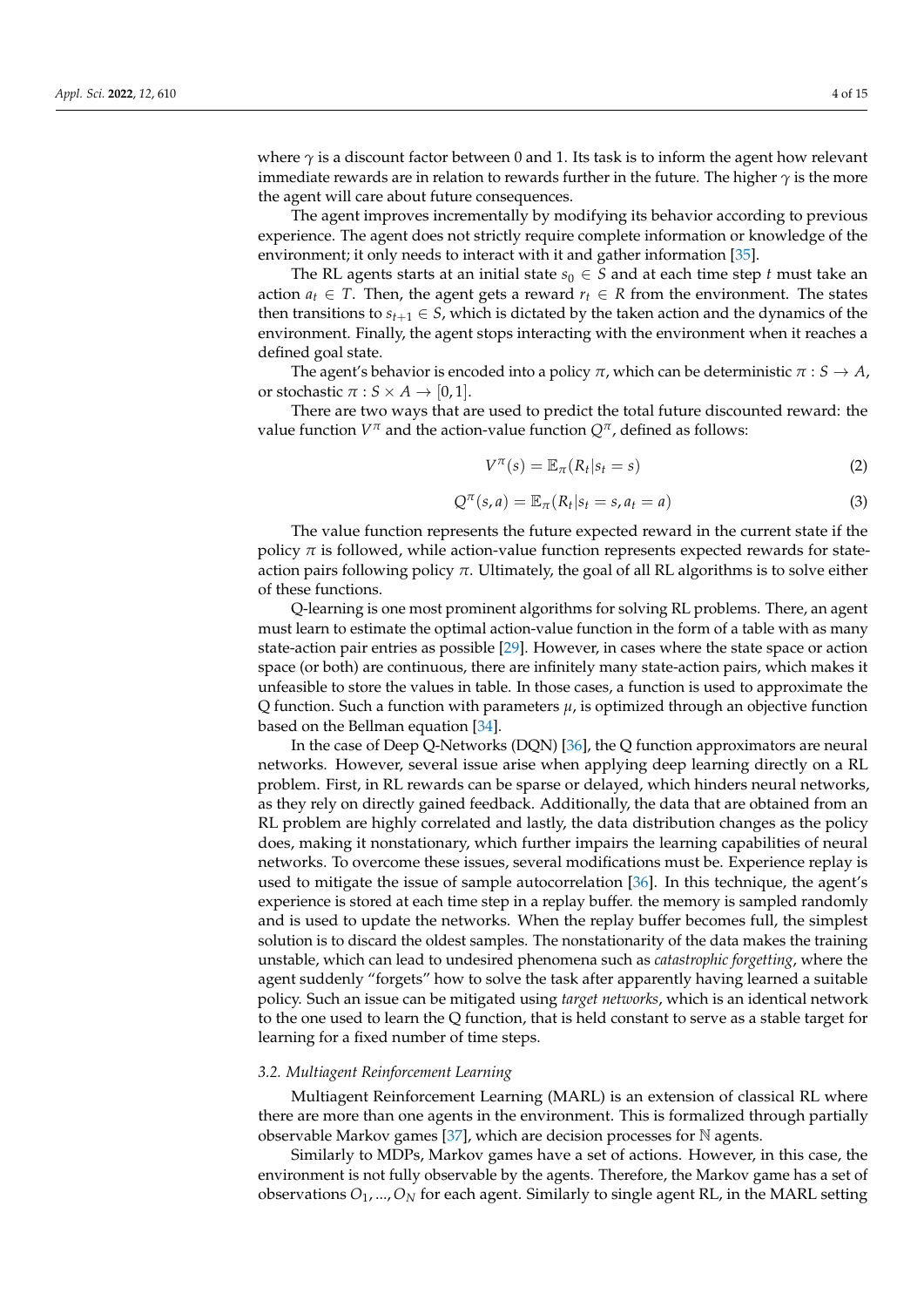where  $\gamma$  is a discount factor between 0 and 1. Its task is to inform the agent how relevant immediate rewards are in relation to rewards further in the future. The higher *γ* is the more the agent will care about future consequences.

The agent improves incrementally by modifying its behavior according to previous experience. The agent does not strictly require complete information or knowledge of the environment; it only needs to interact with it and gather information [\[35\]](#page-13-21).

The RL agents starts at an initial state  $s_0 \in S$  and at each time step *t* must take an action  $a_t \in T$ . Then, the agent gets a reward  $r_t \in R$  from the environment. The states then transitions to  $s_{t+1} \in S$ , which is dictated by the taken action and the dynamics of the environment. Finally, the agent stops interacting with the environment when it reaches a defined goal state.

The agent's behavior is encoded into a policy  $\pi$ , which can be deterministic  $\pi : S \to A$ , or stochastic  $\pi : S \times A \rightarrow [0, 1].$ 

There are two ways that are used to predict the total future discounted reward: the value function *V <sup>π</sup>* and the action-value function *Qπ*, defined as follows:

$$
V^{\pi}(s) = \mathbb{E}_{\pi}(R_t|s_t = s)
$$
\n(2)

$$
Q^{\pi}(s, a) = \mathbb{E}_{\pi}(R_t | s_t = s, a_t = a)
$$
\n(3)

The value function represents the future expected reward in the current state if the policy  $\pi$  is followed, while action-value function represents expected rewards for stateaction pairs following policy  $\pi$ . Ultimately, the goal of all RL algorithms is to solve either of these functions.

Q-learning is one most prominent algorithms for solving RL problems. There, an agent must learn to estimate the optimal action-value function in the form of a table with as many state-action pair entries as possible [\[29\]](#page-13-16). However, in cases where the state space or action space (or both) are continuous, there are infinitely many state-action pairs, which makes it unfeasible to store the values in table. In those cases, a function is used to approximate the Q function. Such a function with parameters *µ*, is optimized through an objective function based on the Bellman equation [\[34\]](#page-13-20).

In the case of Deep Q-Networks (DQN) [\[36\]](#page-13-22), the Q function approximators are neural networks. However, several issue arise when applying deep learning directly on a RL problem. First, in RL rewards can be sparse or delayed, which hinders neural networks, as they rely on directly gained feedback. Additionally, the data that are obtained from an RL problem are highly correlated and lastly, the data distribution changes as the policy does, making it nonstationary, which further impairs the learning capabilities of neural networks. To overcome these issues, several modifications must be. Experience replay is used to mitigate the issue of sample autocorrelation [\[36\]](#page-13-22). In this technique, the agent's experience is stored at each time step in a replay buffer. the memory is sampled randomly and is used to update the networks. When the replay buffer becomes full, the simplest solution is to discard the oldest samples. The nonstationarity of the data makes the training unstable, which can lead to undesired phenomena such as *catastrophic forgetting*, where the agent suddenly "forgets" how to solve the task after apparently having learned a suitable policy. Such an issue can be mitigated using *target networks*, which is an identical network to the one used to learn the Q function, that is held constant to serve as a stable target for learning for a fixed number of time steps.

## *3.2. Multiagent Reinforcement Learning*

Multiagent Reinforcement Learning (MARL) is an extension of classical RL where there are more than one agents in the environment. This is formalized through partially observable Markov games [\[37\]](#page-13-23), which are decision processes for  $\mathbb N$  agents.

Similarly to MDPs, Markov games have a set of actions. However, in this case, the environment is not fully observable by the agents. Therefore, the Markov game has a set of observations *O*1, ...,*O<sup>N</sup>* for each agent. Similarly to single agent RL, in the MARL setting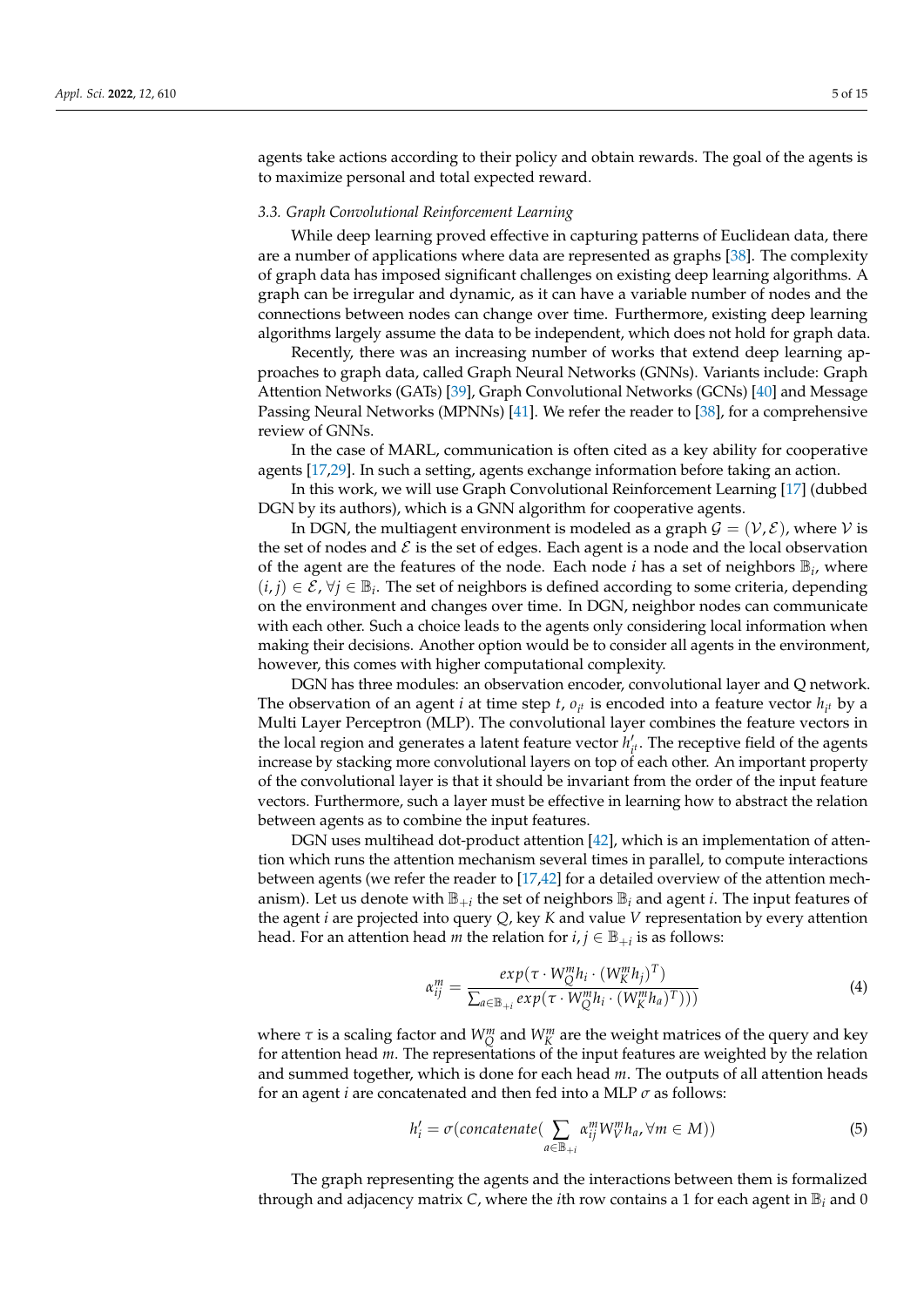agents take actions according to their policy and obtain rewards. The goal of the agents is to maximize personal and total expected reward.

#### *3.3. Graph Convolutional Reinforcement Learning*

While deep learning proved effective in capturing patterns of Euclidean data, there are a number of applications where data are represented as graphs [\[38\]](#page-13-24). The complexity of graph data has imposed significant challenges on existing deep learning algorithms. A graph can be irregular and dynamic, as it can have a variable number of nodes and the connections between nodes can change over time. Furthermore, existing deep learning algorithms largely assume the data to be independent, which does not hold for graph data.

Recently, there was an increasing number of works that extend deep learning approaches to graph data, called Graph Neural Networks (GNNs). Variants include: Graph Attention Networks (GATs) [\[39\]](#page-13-25), Graph Convolutional Networks (GCNs) [\[40\]](#page-13-26) and Message Passing Neural Networks (MPNNs) [\[41\]](#page-13-27). We refer the reader to [\[38\]](#page-13-24), for a comprehensive review of GNNs.

In the case of MARL, communication is often cited as a key ability for cooperative agents [\[17,](#page-13-4)[29\]](#page-13-16). In such a setting, agents exchange information before taking an action.

In this work, we will use Graph Convolutional Reinforcement Learning [\[17\]](#page-13-4) (dubbed DGN by its authors), which is a GNN algorithm for cooperative agents.

In DGN, the multiagent environment is modeled as a graph  $\mathcal{G} = (\mathcal{V}, \mathcal{E})$ , where  $\mathcal{V}$  is the set of nodes and  $\mathcal E$  is the set of edges. Each agent is a node and the local observation of the agent are the features of the node. Each node  $i$  has a set of neighbors  $\mathbb{B}_i$ , where  $(i, j) \in \mathcal{E}$ ,  $\forall j \in \mathbb{B}_i$ . The set of neighbors is defined according to some criteria, depending on the environment and changes over time. In DGN, neighbor nodes can communicate with each other. Such a choice leads to the agents only considering local information when making their decisions. Another option would be to consider all agents in the environment, however, this comes with higher computational complexity.

DGN has three modules: an observation encoder, convolutional layer and Q network. The observation of an agent *i* at time step *t*,  $o_{i^t}$  is encoded into a feature vector  $h_{i^t}$  by a Multi Layer Perceptron (MLP). The convolutional layer combines the feature vectors in the local region and generates a latent feature vector *h*<sup>1</sup>  $t'_{i'}$ . The receptive field of the agents increase by stacking more convolutional layers on top of each other. An important property of the convolutional layer is that it should be invariant from the order of the input feature vectors. Furthermore, such a layer must be effective in learning how to abstract the relation between agents as to combine the input features.

DGN uses multihead dot-product attention [\[42\]](#page-14-0), which is an implementation of attention which runs the attention mechanism several times in parallel, to compute interactions between agents (we refer the reader to [\[17](#page-13-4)[,42\]](#page-14-0) for a detailed overview of the attention mechanism). Let us denote with  $\mathbb{B}_{+i}$  the set of neighbors  $\mathbb{B}_i$  and agent *i*. The input features of the agent *i* are projected into query *Q*, key *K* and value *V* representation by every attention head. For an attention head *m* the relation for  $i, j \in \mathbb{B}_{+i}$  is as follows:

$$
\alpha_{ij}^{m} = \frac{exp(\tau \cdot W_Q^m h_i \cdot (W_K^m h_j)^T)}{\sum_{a \in \mathbb{B}_{+i}} exp(\tau \cdot W_Q^m h_i \cdot (W_K^m h_a)^T)))}
$$
(4)

where  $\tau$  is a scaling factor and  $W^m_Q$  and  $W^m_K$  are the weight matrices of the query and key for attention head *m*. The representations of the input features are weighted by the relation and summed together, which is done for each head *m*. The outputs of all attention heads for an agent *i* are concatenated and then fed into a MLP *σ* as follows:

$$
h'_{i} = \sigma(concatenate(\sum_{a \in \mathbb{B}_{+i}} \alpha_{ij}^{m} W_{V}^{m} h_{a}, \forall m \in M))
$$
\n(5)

The graph representing the agents and the interactions between them is formalized through and adjacency matrix *C*, where the *i*th row contains a 1 for each agent in  $\mathbb{B}_i$  and 0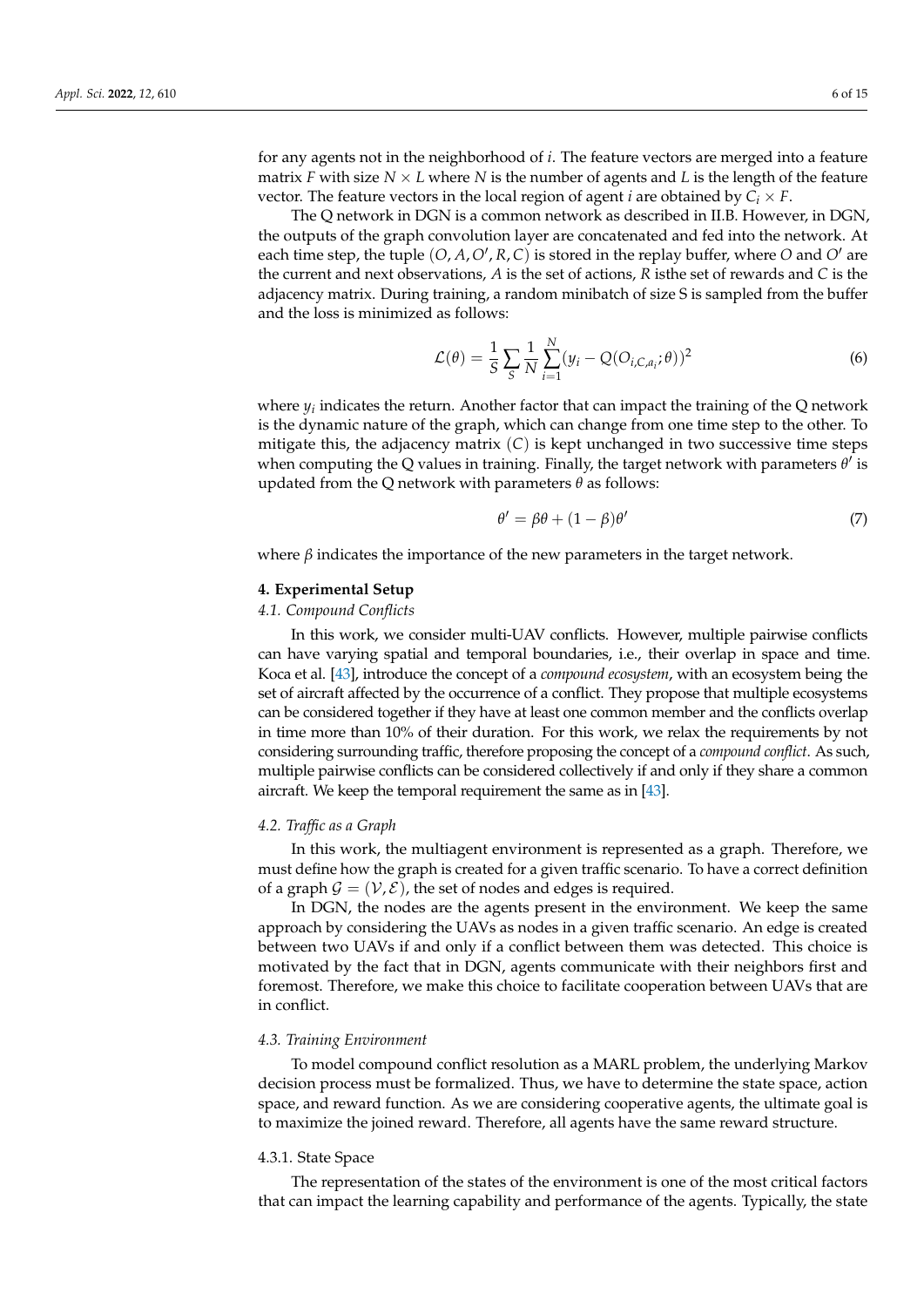for any agents not in the neighborhood of *i*. The feature vectors are merged into a feature matrix *F* with size  $N \times L$  where *N* is the number of agents and *L* is the length of the feature vector. The feature vectors in the local region of agent *i* are obtained by  $C_i \times F$ .

The Q network in DGN is a common network as described in II.B. However, in DGN, the outputs of the graph convolution layer are concatenated and fed into the network. At each time step, the tuple  $(O, A, O', R, C)$  is stored in the replay buffer, where  $O$  and  $O'$  are the current and next observations, *A* is the set of actions, *R* isthe set of rewards and *C* is the adjacency matrix. During training, a random minibatch of size S is sampled from the buffer and the loss is minimized as follows:

$$
\mathcal{L}(\theta) = \frac{1}{S} \sum_{S} \frac{1}{N} \sum_{i=1}^{N} (y_i - Q(O_{i,C,a_i}; \theta))^2
$$
\n(6)

where *y<sup>i</sup>* indicates the return. Another factor that can impact the training of the Q network is the dynamic nature of the graph, which can change from one time step to the other. To mitigate this, the adjacency matrix (*C*) is kept unchanged in two successive time steps when computing the Q values in training. Finally, the target network with parameters  $\theta^{\tilde{l}}$  is updated from the Q network with parameters *θ* as follows:

$$
\theta' = \beta \theta + (1 - \beta)\theta'
$$
 (7)

where  $\beta$  indicates the importance of the new parameters in the target network.

#### <span id="page-5-0"></span>**4. Experimental Setup**

## *4.1. Compound Conflicts*

In this work, we consider multi-UAV conflicts. However, multiple pairwise conflicts can have varying spatial and temporal boundaries, i.e., their overlap in space and time. Koca et al. [\[43\]](#page-14-1), introduce the concept of a *compound ecosystem*, with an ecosystem being the set of aircraft affected by the occurrence of a conflict. They propose that multiple ecosystems can be considered together if they have at least one common member and the conflicts overlap in time more than 10% of their duration. For this work, we relax the requirements by not considering surrounding traffic, therefore proposing the concept of a *compound conflict*. As such, multiple pairwise conflicts can be considered collectively if and only if they share a common aircraft. We keep the temporal requirement the same as in [\[43\]](#page-14-1).

#### *4.2. Traffic as a Graph*

In this work, the multiagent environment is represented as a graph. Therefore, we must define how the graph is created for a given traffic scenario. To have a correct definition of a graph  $\mathcal{G} = (\mathcal{V}, \mathcal{E})$ , the set of nodes and edges is required.

In DGN, the nodes are the agents present in the environment. We keep the same approach by considering the UAVs as nodes in a given traffic scenario. An edge is created between two UAVs if and only if a conflict between them was detected. This choice is motivated by the fact that in DGN, agents communicate with their neighbors first and foremost. Therefore, we make this choice to facilitate cooperation between UAVs that are in conflict.

#### *4.3. Training Environment*

To model compound conflict resolution as a MARL problem, the underlying Markov decision process must be formalized. Thus, we have to determine the state space, action space, and reward function. As we are considering cooperative agents, the ultimate goal is to maximize the joined reward. Therefore, all agents have the same reward structure.

#### 4.3.1. State Space

The representation of the states of the environment is one of the most critical factors that can impact the learning capability and performance of the agents. Typically, the state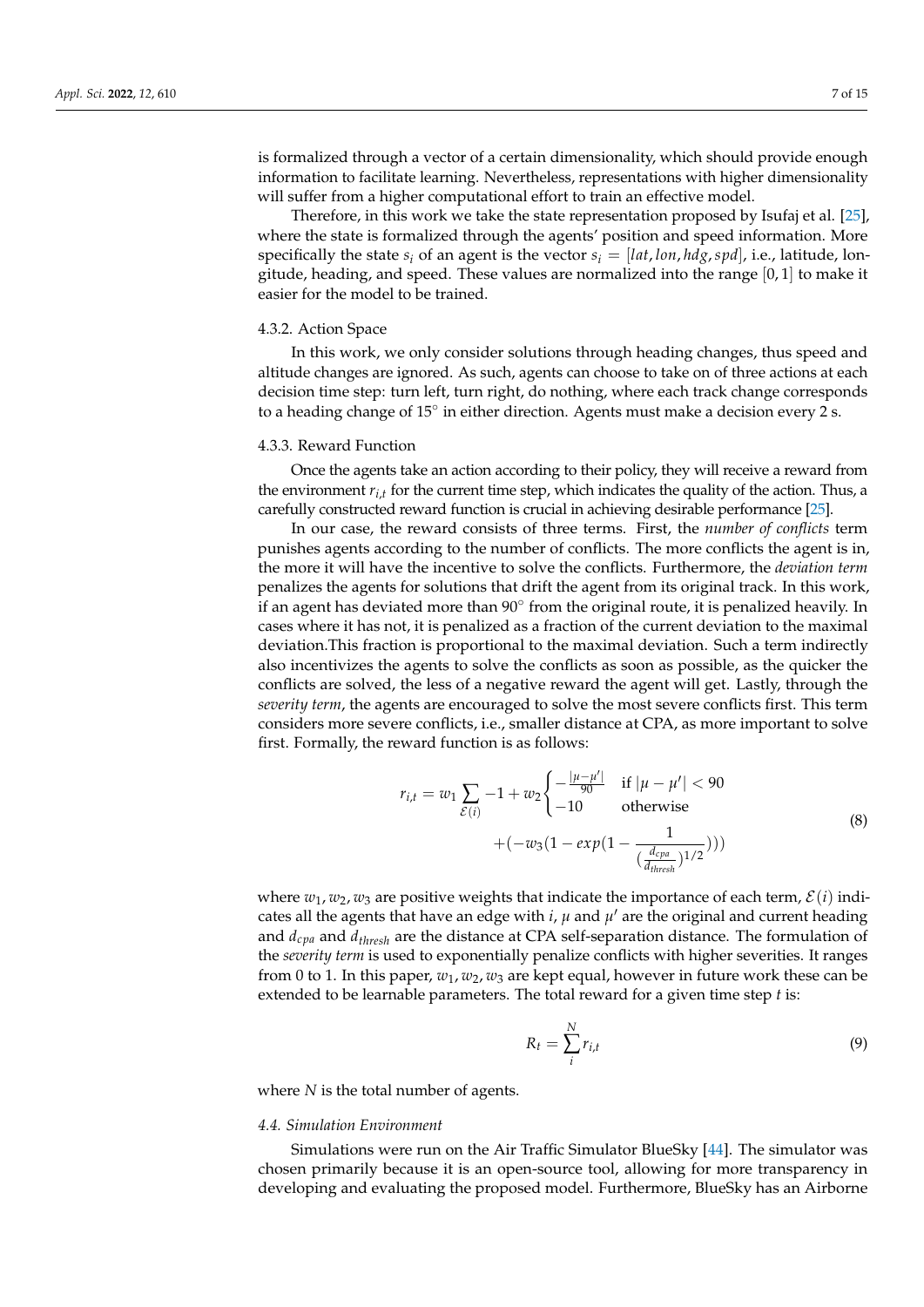is formalized through a vector of a certain dimensionality, which should provide enough information to facilitate learning. Nevertheless, representations with higher dimensionality will suffer from a higher computational effort to train an effective model.

Therefore, in this work we take the state representation proposed by Isufaj et al. [\[25\]](#page-13-12), where the state is formalized through the agents' position and speed information. More specifically the state  $s_i$  of an agent is the vector  $s_i = [lat, lon, hdg, spl]$ , i.e., latitude, longitude, heading, and speed. These values are normalized into the range  $[0,1]$  to make it easier for the model to be trained.

### 4.3.2. Action Space

In this work, we only consider solutions through heading changes, thus speed and altitude changes are ignored. As such, agents can choose to take on of three actions at each decision time step: turn left, turn right, do nothing, where each track change corresponds to a heading change of 15° in either direction. Agents must make a decision every 2 s.

#### 4.3.3. Reward Function

Once the agents take an action according to their policy, they will receive a reward from the environment *ri*,*<sup>t</sup>* for the current time step, which indicates the quality of the action. Thus, a carefully constructed reward function is crucial in achieving desirable performance [\[25\]](#page-13-12).

In our case, the reward consists of three terms. First, the *number of conflicts* term punishes agents according to the number of conflicts. The more conflicts the agent is in, the more it will have the incentive to solve the conflicts. Furthermore, the *deviation term* penalizes the agents for solutions that drift the agent from its original track. In this work, if an agent has deviated more than  $90^\circ$  from the original route, it is penalized heavily. In cases where it has not, it is penalized as a fraction of the current deviation to the maximal deviation.This fraction is proportional to the maximal deviation. Such a term indirectly also incentivizes the agents to solve the conflicts as soon as possible, as the quicker the conflicts are solved, the less of a negative reward the agent will get. Lastly, through the *severity term*, the agents are encouraged to solve the most severe conflicts first. This term considers more severe conflicts, i.e., smaller distance at CPA, as more important to solve first. Formally, the reward function is as follows:

$$
r_{i,t} = w_1 \sum_{\mathcal{E}(i)} -1 + w_2 \begin{cases} -\frac{|\mu - \mu'|}{90} & \text{if } |\mu - \mu'| < 90\\ -10 & \text{otherwise} \end{cases}
$$
  
+ 
$$
(-w_3(1 - exp(1 - \frac{1}{(\frac{d_{cpa}}{d_{thresh}})^{1/2}})))
$$
 (8)

where  $w_1, w_2, w_3$  are positive weights that indicate the importance of each term,  $\mathcal{E}(i)$  indicates all the agents that have an edge with *i*,  $\mu$  and  $\mu'$  are the original and current heading and *dcpa* and *dthresh* are the distance at CPA self-separation distance. The formulation of the *severity term* is used to exponentially penalize conflicts with higher severities. It ranges from 0 to 1. In this paper,  $w_1$ ,  $w_2$ ,  $w_3$  are kept equal, however in future work these can be extended to be learnable parameters. The total reward for a given time step *t* is:

$$
R_t = \sum_{i}^{N} r_{i,t} \tag{9}
$$

where *N* is the total number of agents.

#### *4.4. Simulation Environment*

Simulations were run on the Air Traffic Simulator BlueSky [\[44\]](#page-14-2). The simulator was chosen primarily because it is an open-source tool, allowing for more transparency in developing and evaluating the proposed model. Furthermore, BlueSky has an Airborne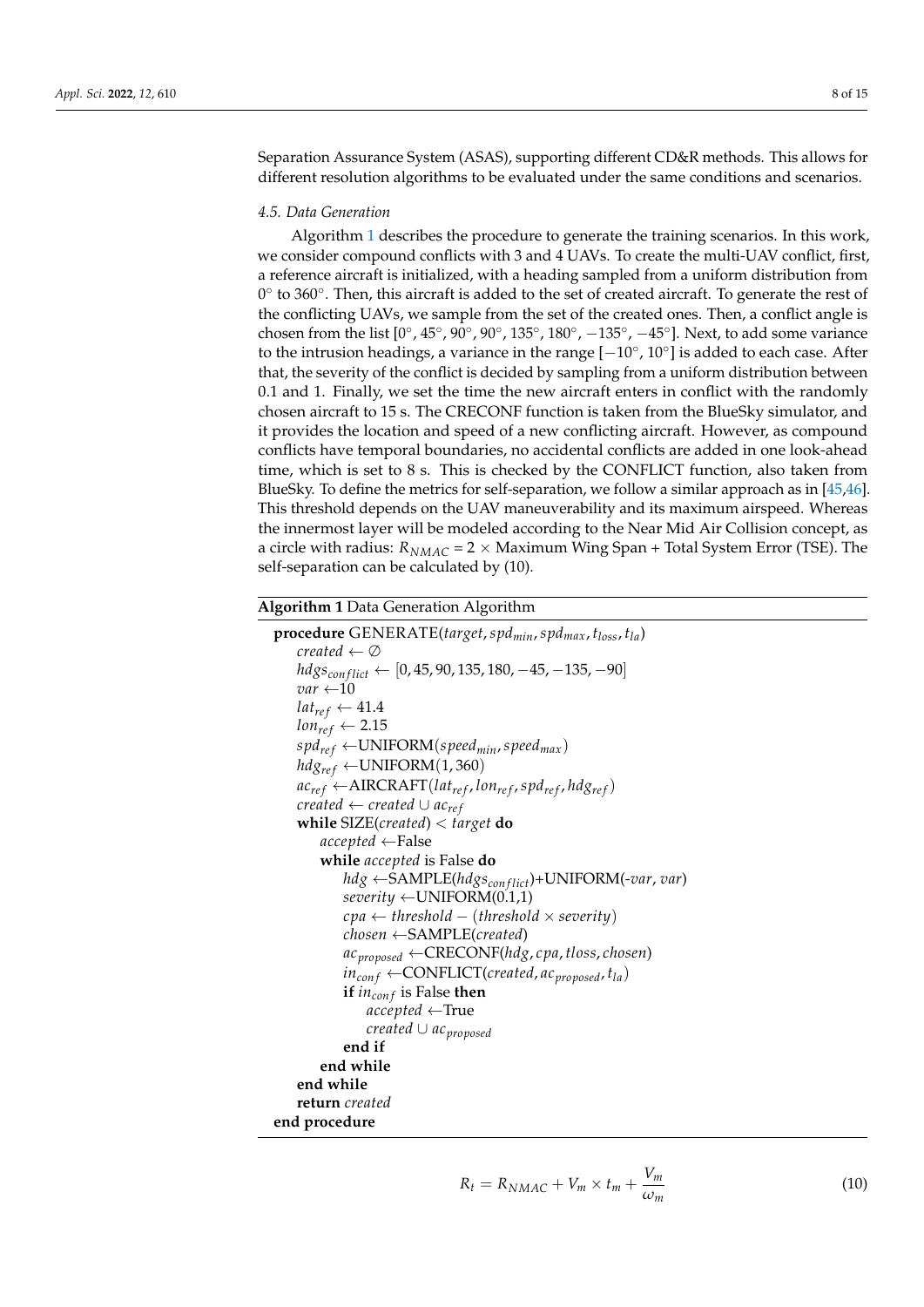Separation Assurance System (ASAS), supporting different CD&R methods. This allows for different resolution algorithms to be evaluated under the same conditions and scenarios.

### *4.5. Data Generation*

Algorithm [1](#page-7-0) describes the procedure to generate the training scenarios. In this work, we consider compound conflicts with 3 and 4 UAVs. To create the multi-UAV conflict, first, a reference aircraft is initialized, with a heading sampled from a uniform distribution from 0° to 360°. Then, this aircraft is added to the set of created aircraft. To generate the rest of the conflicting UAVs, we sample from the set of the created ones. Then, a conflict angle is chosen from the list  $[0^{\circ}, 45^{\circ}, 90^{\circ}, 90^{\circ}, 135^{\circ}, 180^{\circ}, -135^{\circ}, -45^{\circ}]$ . Next, to add some variance to the intrusion headings, a variance in the range  $[-10^{\circ}, 10^{\circ}]$  is added to each case. After that, the severity of the conflict is decided by sampling from a uniform distribution between 0.1 and 1. Finally, we set the time the new aircraft enters in conflict with the randomly chosen aircraft to 15 s. The CRECONF function is taken from the BlueSky simulator, and it provides the location and speed of a new conflicting aircraft. However, as compound conflicts have temporal boundaries, no accidental conflicts are added in one look-ahead time, which is set to 8 s. This is checked by the CONFLICT function, also taken from BlueSky. To define the metrics for self-separation, we follow a similar approach as in [\[45](#page-14-3)[,46\]](#page-14-4). This threshold depends on the UAV maneuverability and its maximum airspeed. Whereas the innermost layer will be modeled according to the Near Mid Air Collision concept, as a circle with radius:  $R_{NMAC} = 2 \times$  Maximum Wing Span + Total System Error (TSE). The self-separation can be calculated by (10).

# <span id="page-7-0"></span>**Algorithm 1** Data Generation Algorithm

```
procedure GENERATE(target,spdmin,spdmax, tloss, tla)
   created ← ∅
   hdgscon f lict ← [0, 45, 90, 135, 180, −45, −135, −90]
   var ←10
   lat_{ref} \leftarrow 41.4lon_{ref} \leftarrow 2.15spdre f ←UNIFORM(speedmin,speedmax)
   hdg_{ref} \leftarrow \text{UNIFORM}(1, 360)ac_{ref} \leftarrow \text{AIRCRAFT}(lat_{ref}, lon_{ref}, spd_{ref}, hdg_{ref})created \leftarrow created \cup ac_{ref}while SIZE(created) < target do
       accepted ←False
       while accepted is False do
           hdg ←SAMPLE(hdgscon f lict)+UNIFORM(-var, var)
           severity ←UNIFORM(0.1,1)
           cpa ← threshold − (threshold × severity)
           chosen ←SAMPLE(created)
           acproposed ←CRECONF(hdg, cpa, tloss, chosen)
           in_{conf} \leftarrow \text{CONFLICT}(created, ac_{proposed}, t_{la})if incon f is False then
               accepted ←True
               created ∪ acproposed
           end if
       end while
   end while
   return created
end procedure
```

$$
R_t = R_{NMAC} + V_m \times t_m + \frac{V_m}{\omega_m} \tag{1}
$$

(10)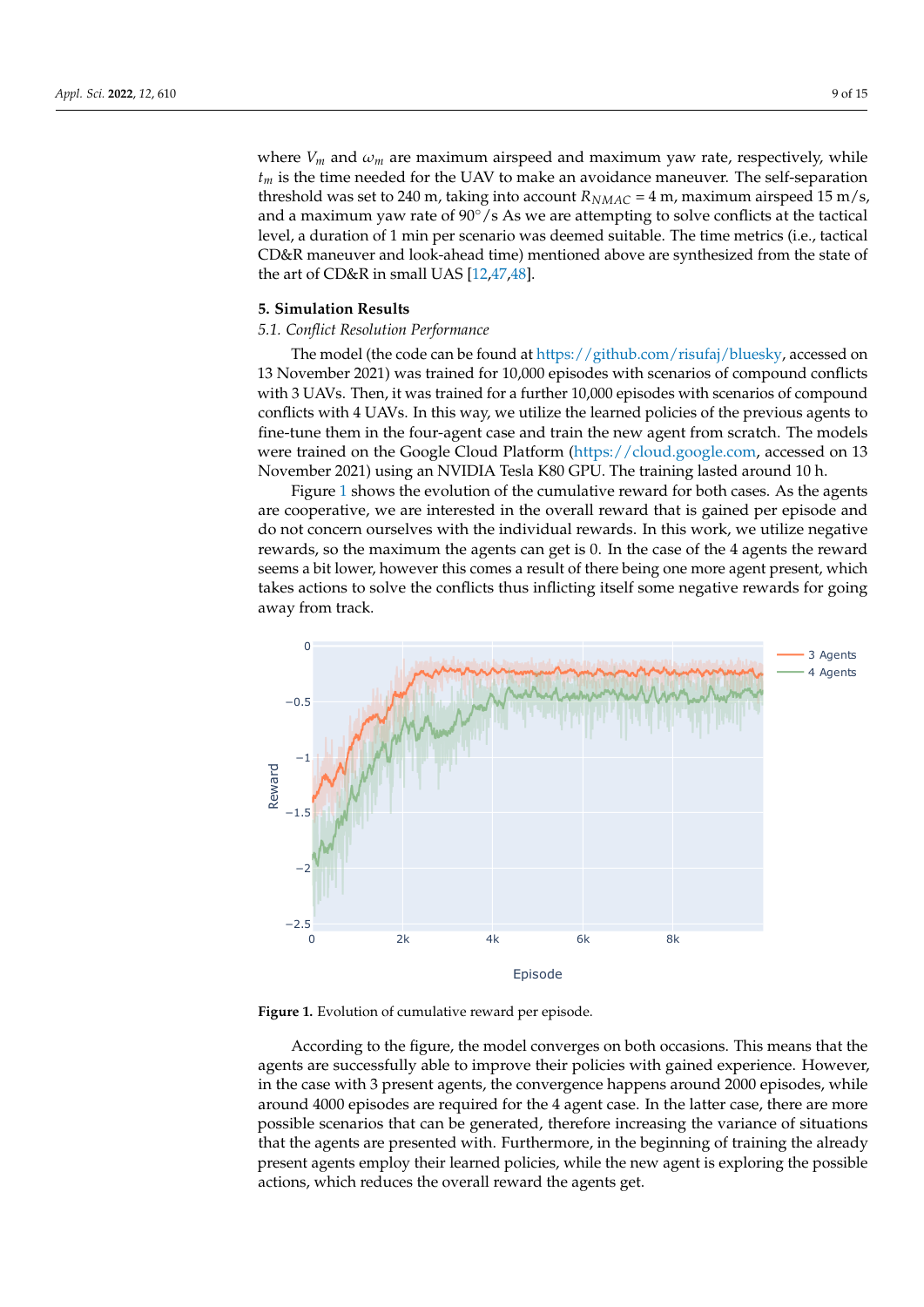where  $V_m$  and  $\omega_m$  are maximum airspeed and maximum yaw rate, respectively, while *t<sup>m</sup>* is the time needed for the UAV to make an avoidance maneuver. The self-separation threshold was set to 240 m, taking into account  $R_{NMAC} = 4$  m, maximum airspeed 15 m/s, and a maximum yaw rate of  $90^{\circ}/s$  As we are attempting to solve conflicts at the tactical level, a duration of 1 min per scenario was deemed suitable. The time metrics (i.e., tactical CD&R maneuver and look-ahead time) mentioned above are synthesized from the state of the art of CD&R in small UAS [\[12](#page-13-28)[,47,](#page-14-5)[48\]](#page-14-6).

## <span id="page-8-0"></span>**5. Simulation Results**

# *5.1. Conflict Resolution Performance*

The model (the code can be found at [https://github.com/risufaj/bluesky,](https://github.com/risufaj/bluesky) accessed on 13 November 2021) was trained for 10,000 episodes with scenarios of compound conflicts with 3 UAVs. Then, it was trained for a further 10,000 episodes with scenarios of compound conflicts with 4 UAVs. In this way, we utilize the learned policies of the previous agents to fine-tune them in the four-agent case and train the new agent from scratch. The models were trained on the Google Cloud Platform [\(https://cloud.google.com,](https://cloud.google.com) accessed on 13 November 2021) using an NVIDIA Tesla K80 GPU. The training lasted around 10 h.

Figure [1](#page-8-1) shows the evolution of the cumulative reward for both cases. As the agents are cooperative, we are interested in the overall reward that is gained per episode and do not concern ourselves with the individual rewards. In this work, we utilize negative rewards, so the maximum the agents can get is 0. In the case of the 4 agents the reward seems a bit lower, however this comes a result of there being one more agent present, which takes actions to solve the conflicts thus inflicting itself some negative rewards for going away from track.

<span id="page-8-1"></span>

**Figure 1.** Evolution of cumulative reward per episode.

According to the figure, the model converges on both occasions. This means that the agents are successfully able to improve their policies with gained experience. However, in the case with 3 present agents, the convergence happens around 2000 episodes, while around 4000 episodes are required for the 4 agent case. In the latter case, there are more possible scenarios that can be generated, therefore increasing the variance of situations that the agents are presented with. Furthermore, in the beginning of training the already present agents employ their learned policies, while the new agent is exploring the possible actions, which reduces the overall reward the agents get.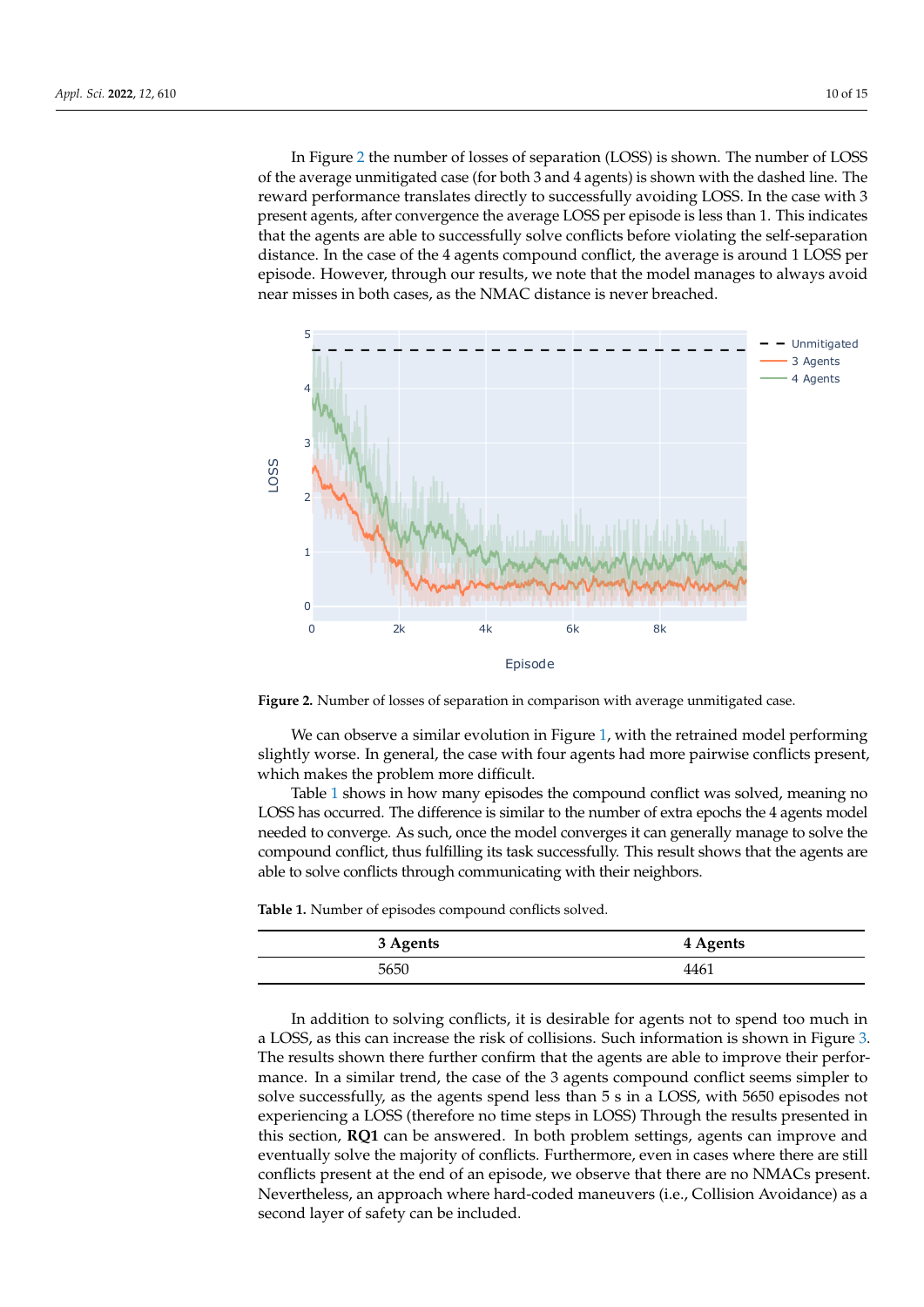In Figure [2](#page-9-0) the number of losses of separation (LOSS) is shown. The number of LOSS of the average unmitigated case (for both 3 and 4 agents) is shown with the dashed line. The reward performance translates directly to successfully avoiding LOSS. In the case with 3 present agents, after convergence the average LOSS per episode is less than 1. This indicates that the agents are able to successfully solve conflicts before violating the self-separation distance. In the case of the 4 agents compound conflict, the average is around 1 LOSS per episode. However, through our results, we note that the model manages to always avoid near misses in both cases, as the NMAC distance is never breached.

<span id="page-9-0"></span>



We can observe a similar evolution in Figure [1,](#page-8-1) with the retrained model performing slightly worse. In general, the case with four agents had more pairwise conflicts present, which makes the problem more difficult.

Table [1](#page-9-1) shows in how many episodes the compound conflict was solved, meaning no LOSS has occurred. The difference is similar to the number of extra epochs the 4 agents model needed to converge. As such, once the model converges it can generally manage to solve the compound conflict, thus fulfilling its task successfully. This result shows that the agents are able to solve conflicts through communicating with their neighbors.

<span id="page-9-1"></span>**Table 1.** Number of episodes compound conflicts solved.

| 3 Agents | 4 Agents |
|----------|----------|
| 5650     | 4461     |

In addition to solving conflicts, it is desirable for agents not to spend too much in a LOSS, as this can increase the risk of collisions. Such information is shown in Figure [3.](#page-10-0) The results shown there further confirm that the agents are able to improve their performance. In a similar trend, the case of the 3 agents compound conflict seems simpler to solve successfully, as the agents spend less than 5 s in a LOSS, with 5650 episodes not experiencing a LOSS (therefore no time steps in LOSS) Through the results presented in this section, **RQ1** can be answered. In both problem settings, agents can improve and eventually solve the majority of conflicts. Furthermore, even in cases where there are still conflicts present at the end of an episode, we observe that there are no NMACs present. Nevertheless, an approach where hard-coded maneuvers (i.e., Collision Avoidance) as a second layer of safety can be included.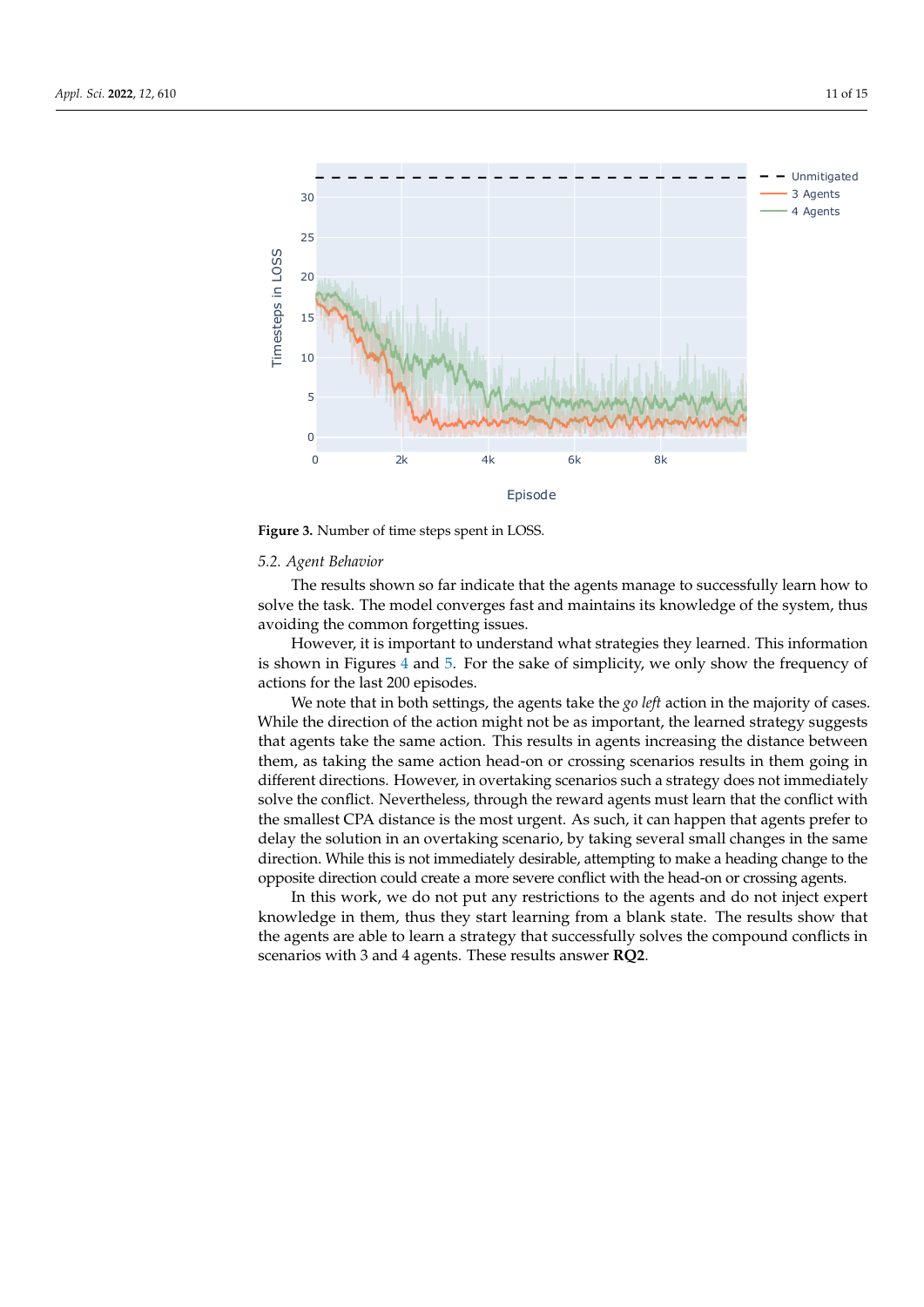<span id="page-10-0"></span>

**Figure 3.** Number of time steps spent in LOSS.

#### *5.2. Agent Behavior*

The results shown so far indicate that the agents manage to successfully learn how to solve the task. The model converges fast and maintains its knowledge of the system, thus avoiding the common forgetting issues.

However, it is important to understand what strategies they learned. This information is shown in Figures [4](#page-11-1) and [5.](#page-11-2) For the sake of simplicity, we only show the frequency of actions for the last 200 episodes.

We note that in both settings, the agents take the *go left* action in the majority of cases. While the direction of the action might not be as important, the learned strategy suggests that agents take the same action. This results in agents increasing the distance between them, as taking the same action head-on or crossing scenarios results in them going in different directions. However, in overtaking scenarios such a strategy does not immediately solve the conflict. Nevertheless, through the reward agents must learn that the conflict with the smallest CPA distance is the most urgent. As such, it can happen that agents prefer to delay the solution in an overtaking scenario, by taking several small changes in the same direction. While this is not immediately desirable, attempting to make a heading change to the opposite direction could create a more severe conflict with the head-on or crossing agents.

In this work, we do not put any restrictions to the agents and do not inject expert knowledge in them, thus they start learning from a blank state. The results show that the agents are able to learn a strategy that successfully solves the compound conflicts in scenarios with 3 and 4 agents. These results answer **RQ2**.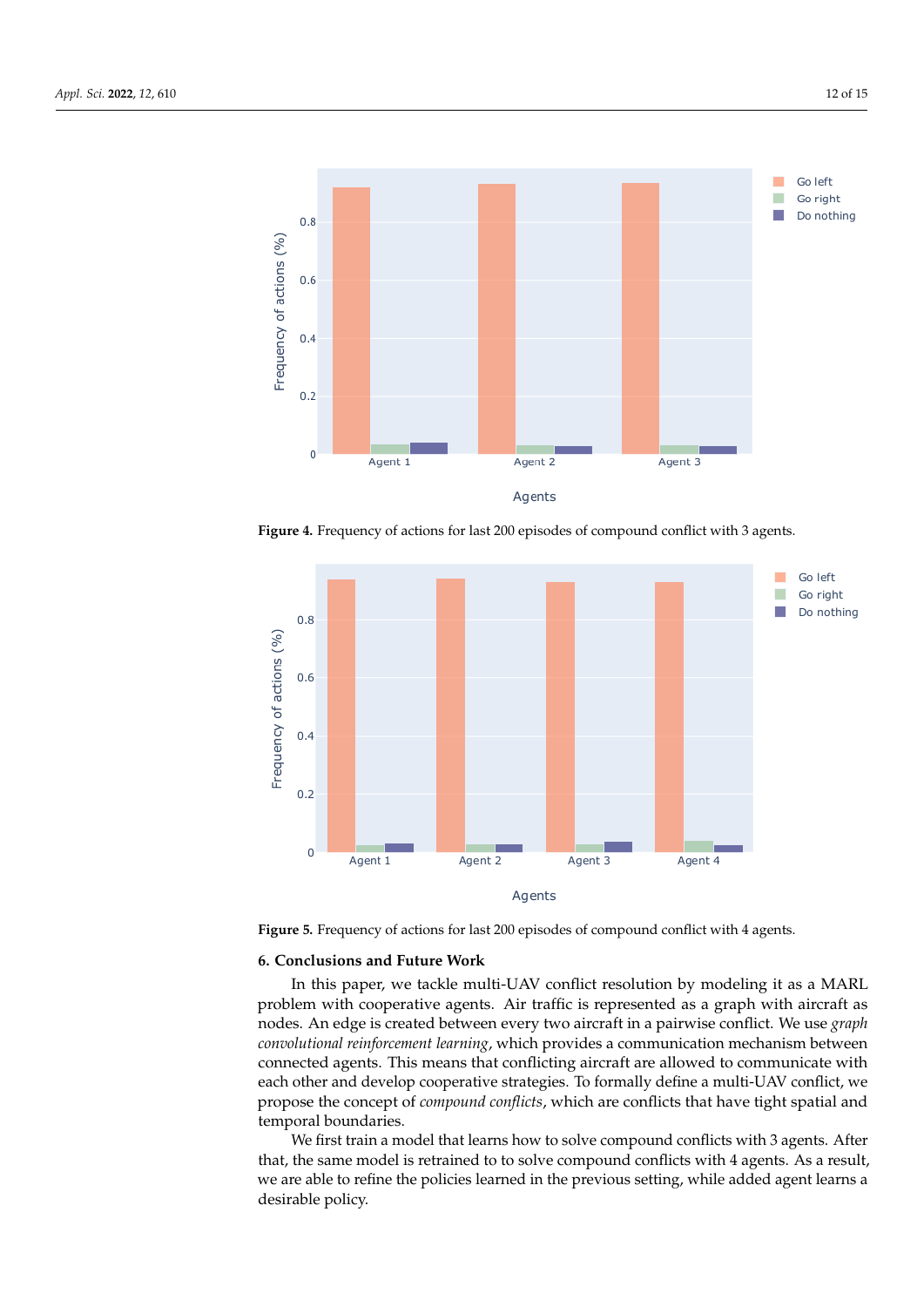<span id="page-11-1"></span>

<span id="page-11-2"></span>**Figure 4.** Frequency of actions for last 200 episodes of compound conflict with 3 agents.



**Figure 5.** Frequency of actions for last 200 episodes of compound conflict with 4 agents.

#### <span id="page-11-0"></span>**6. Conclusions and Future Work**

In this paper, we tackle multi-UAV conflict resolution by modeling it as a MARL problem with cooperative agents. Air traffic is represented as a graph with aircraft as nodes. An edge is created between every two aircraft in a pairwise conflict. We use *graph convolutional reinforcement learning*, which provides a communication mechanism between connected agents. This means that conflicting aircraft are allowed to communicate with each other and develop cooperative strategies. To formally define a multi-UAV conflict, we propose the concept of *compound conflicts*, which are conflicts that have tight spatial and temporal boundaries.

We first train a model that learns how to solve compound conflicts with 3 agents. After that, the same model is retrained to to solve compound conflicts with 4 agents. As a result, we are able to refine the policies learned in the previous setting, while added agent learns a desirable policy.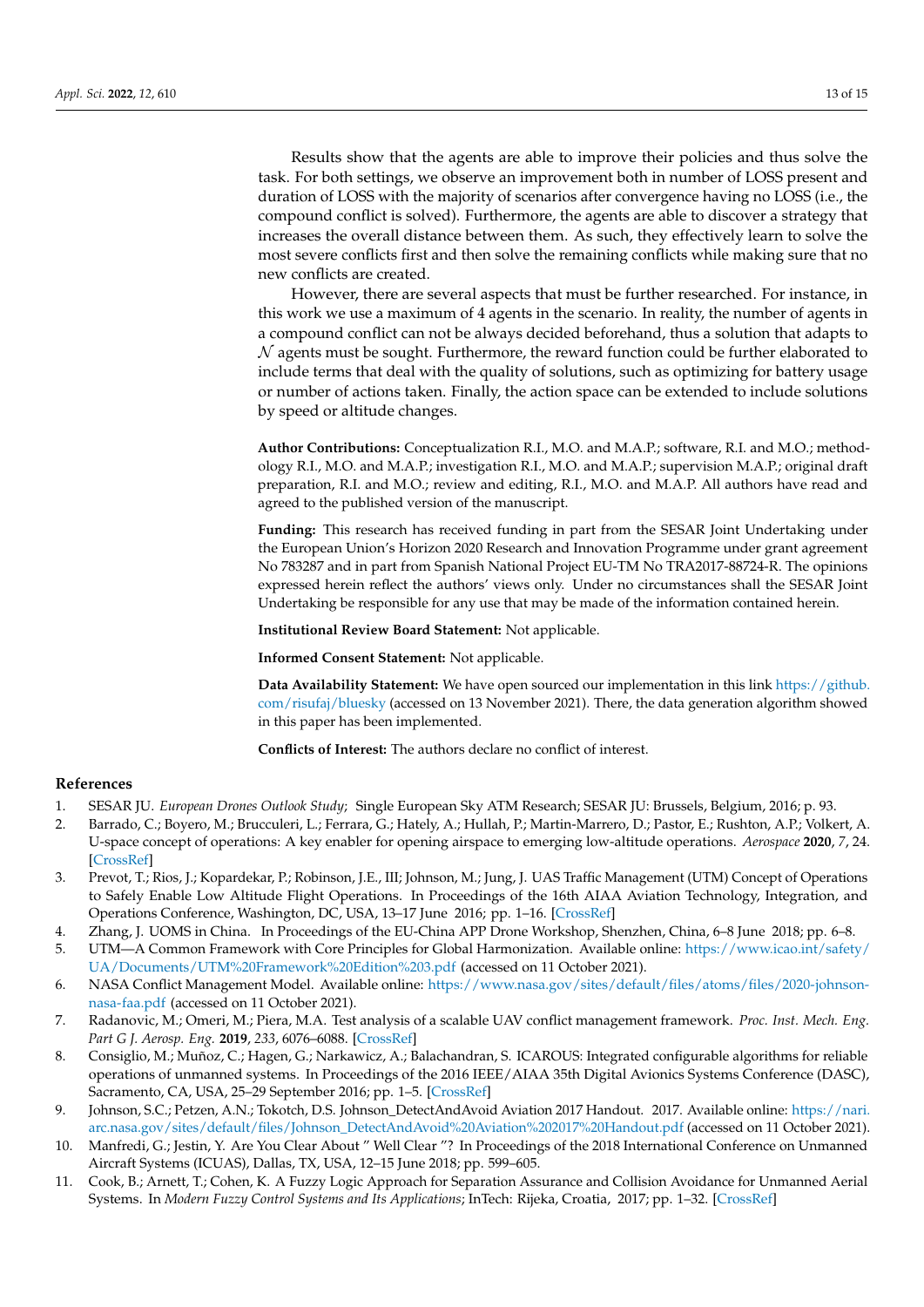Results show that the agents are able to improve their policies and thus solve the task. For both settings, we observe an improvement both in number of LOSS present and

duration of LOSS with the majority of scenarios after convergence having no LOSS (i.e., the compound conflict is solved). Furthermore, the agents are able to discover a strategy that increases the overall distance between them. As such, they effectively learn to solve the most severe conflicts first and then solve the remaining conflicts while making sure that no new conflicts are created.

However, there are several aspects that must be further researched. For instance, in this work we use a maximum of 4 agents in the scenario. In reality, the number of agents in a compound conflict can not be always decided beforehand, thus a solution that adapts to  $\mathcal N$  agents must be sought. Furthermore, the reward function could be further elaborated to include terms that deal with the quality of solutions, such as optimizing for battery usage or number of actions taken. Finally, the action space can be extended to include solutions by speed or altitude changes.

**Author Contributions:** Conceptualization R.I., M.O. and M.A.P.; software, R.I. and M.O.; methodology R.I., M.O. and M.A.P.; investigation R.I., M.O. and M.A.P.; supervision M.A.P.; original draft preparation, R.I. and M.O.; review and editing, R.I., M.O. and M.A.P. All authors have read and agreed to the published version of the manuscript.

**Funding:** This research has received funding in part from the SESAR Joint Undertaking under the European Union's Horizon 2020 Research and Innovation Programme under grant agreement No 783287 and in part from Spanish National Project EU-TM No TRA2017-88724-R. The opinions expressed herein reflect the authors' views only. Under no circumstances shall the SESAR Joint Undertaking be responsible for any use that may be made of the information contained herein.

**Institutional Review Board Statement:** Not applicable.

**Informed Consent Statement:** Not applicable.

**Data Availability Statement:** We have open sourced our implementation in this link [https://github.](https://github.com/risufaj/bluesky) [com/risufaj/bluesky](https://github.com/risufaj/bluesky) (accessed on 13 November 2021). There, the data generation algorithm showed in this paper has been implemented.

**Conflicts of Interest:** The authors declare no conflict of interest.

#### **References**

- <span id="page-12-0"></span>1. SESAR JU. *European Drones Outlook Study*; Single European Sky ATM Research; SESAR JU: Brussels, Belgium, 2016; p. 93.
- <span id="page-12-1"></span>2. Barrado, C.; Boyero, M.; Brucculeri, L.; Ferrara, G.; Hately, A.; Hullah, P.; Martin-Marrero, D.; Pastor, E.; Rushton, A.P.; Volkert, A. U-space concept of operations: A key enabler for opening airspace to emerging low-altitude operations. *Aerospace* **2020**, *7*, 24. [\[CrossRef\]](http://doi.org/10.3390/aerospace7030024)
- <span id="page-12-2"></span>3. Prevot, T.; Rios, J.; Kopardekar, P.; Robinson, J.E., III; Johnson, M.; Jung, J. UAS Traffic Management (UTM) Concept of Operations to Safely Enable Low Altitude Flight Operations. In Proceedings of the 16th AIAA Aviation Technology, Integration, and Operations Conference, Washington, DC, USA, 13–17 June 2016; pp. 1–16. [\[CrossRef\]](http://dx.doi.org/10.2514/6.2016-3292)
- <span id="page-12-3"></span>4. Zhang, J. UOMS in China. In Proceedings of the EU-China APP Drone Workshop, Shenzhen, China, 6–8 June 2018; pp. 6–8.
- <span id="page-12-4"></span>5. UTM—A Common Framework with Core Principles for Global Harmonization. Available online: [https://www.icao.int/safety/](https://www.icao.int/safety/UA/Documents/UTM%20Framework%20Edition%203.pdf) [UA/Documents/UTM%20Framework%20Edition%203.pdf](https://www.icao.int/safety/UA/Documents/UTM%20Framework%20Edition%203.pdf) (accessed on 11 October 2021).
- <span id="page-12-5"></span>6. NASA Conflict Management Model. Available online: [https://www.nasa.gov/sites/default/files/atoms/files/2020-johnson](https://www.nasa.gov/sites/default/files/atoms/files/2020-johnson-nasa-faa.pdf)[nasa-faa.pdf](https://www.nasa.gov/sites/default/files/atoms/files/2020-johnson-nasa-faa.pdf) (accessed on 11 October 2021).
- <span id="page-12-6"></span>7. Radanovic, M.; Omeri, M.; Piera, M.A. Test analysis of a scalable UAV conflict management framework. *Proc. Inst. Mech. Eng. Part G J. Aerosp. Eng.* **2019**, *233*, 6076–6088. [\[CrossRef\]](http://dx.doi.org/10.1177/0954410019875241)
- <span id="page-12-7"></span>8. Consiglio, M.; Muñoz, C.; Hagen, G.; Narkawicz, A.; Balachandran, S. ICAROUS: Integrated configurable algorithms for reliable operations of unmanned systems. In Proceedings of the 2016 IEEE/AIAA 35th Digital Avionics Systems Conference (DASC), Sacramento, CA, USA, 25–29 September 2016; pp. 1–5. [\[CrossRef\]](http://dx.doi.org/10.1109/DASC.2016.7778033)
- <span id="page-12-8"></span>9. Johnson, S.C.; Petzen, A.N.; Tokotch, D.S. Johnson\_DetectAndAvoid Aviation 2017 Handout. 2017. Available online: [https://nari.](https://nari.arc.nasa.gov/sites/default/files/Johnson_DetectAndAvoid%20Aviation%202017%20Handout.pdf) [arc.nasa.gov/sites/default/files/Johnson\\_DetectAndAvoid%20Aviation%202017%20Handout.pdf](https://nari.arc.nasa.gov/sites/default/files/Johnson_DetectAndAvoid%20Aviation%202017%20Handout.pdf) (accessed on 11 October 2021).
- <span id="page-12-9"></span>10. Manfredi, G.; Jestin, Y. Are You Clear About " Well Clear "? In Proceedings of the 2018 International Conference on Unmanned Aircraft Systems (ICUAS), Dallas, TX, USA, 12–15 June 2018; pp. 599–605.
- <span id="page-12-10"></span>11. Cook, B.; Arnett, T.; Cohen, K. A Fuzzy Logic Approach for Separation Assurance and Collision Avoidance for Unmanned Aerial Systems. In *Modern Fuzzy Control Systems and Its Applications*; InTech: Rijeka, Croatia, 2017; pp. 1–32. [\[CrossRef\]](http://dx.doi.org/10.5772/68126)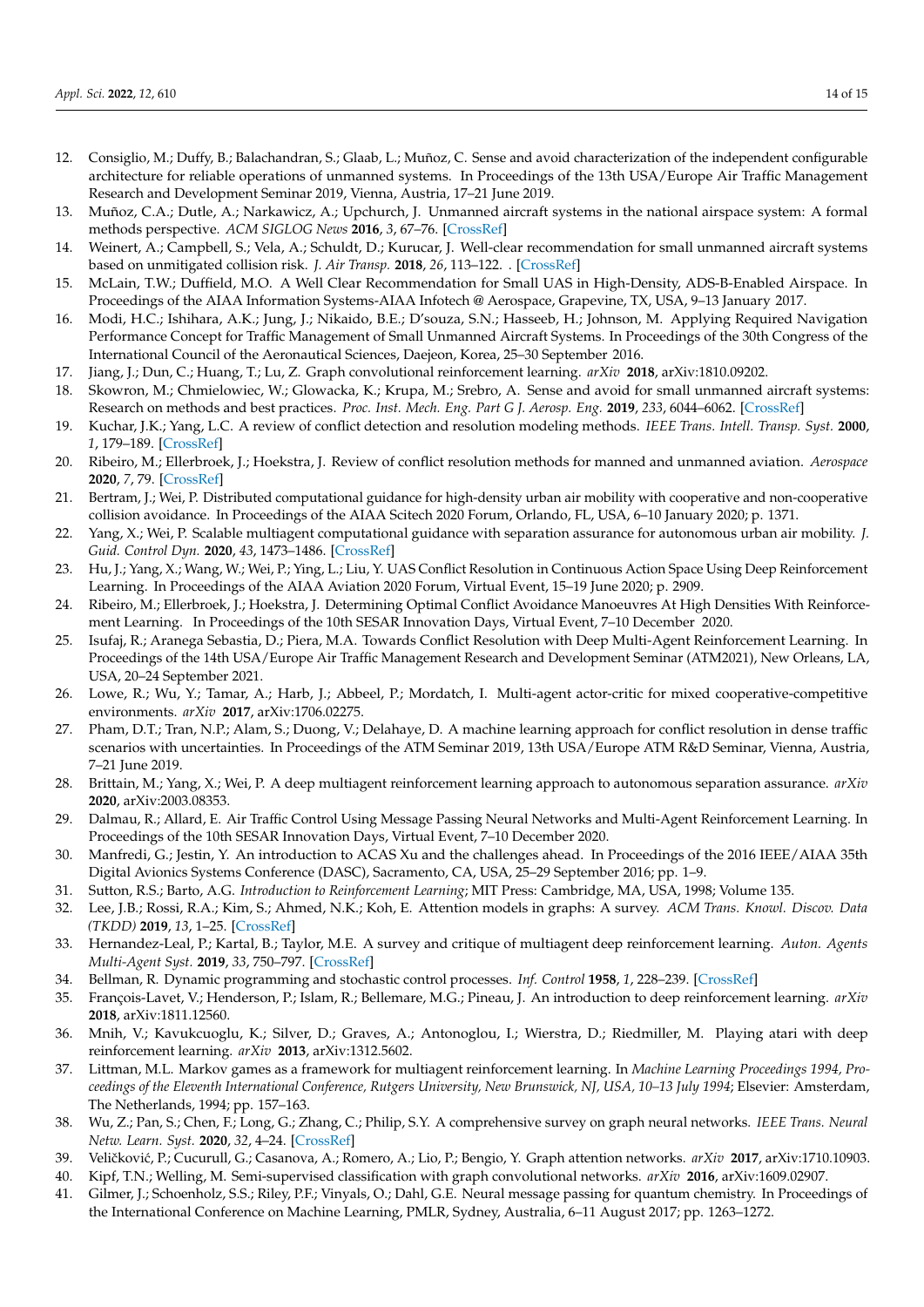- <span id="page-13-28"></span>12. Consiglio, M.; Duffy, B.; Balachandran, S.; Glaab, L.; Muñoz, C. Sense and avoid characterization of the independent configurable architecture for reliable operations of unmanned systems. In Proceedings of the 13th USA/Europe Air Traffic Management Research and Development Seminar 2019, Vienna, Austria, 17–21 June 2019.
- <span id="page-13-0"></span>13. Muñoz, C.A.; Dutle, A.; Narkawicz, A.; Upchurch, J. Unmanned aircraft systems in the national airspace system: A formal methods perspective. *ACM SIGLOG News* **2016**, *3*, 67–76. [\[CrossRef\]](http://dx.doi.org/10.1145/2984450.2984459)
- <span id="page-13-1"></span>14. Weinert, A.; Campbell, S.; Vela, A.; Schuldt, D.; Kurucar, J. Well-clear recommendation for small unmanned aircraft systems based on unmitigated collision risk. *J. Air Transp.* **2018**, *26*, 113–122. . [\[CrossRef\]](http://dx.doi.org/10.2514/1.D0091)
- <span id="page-13-2"></span>15. McLain, T.W.; Duffield, M.O. A Well Clear Recommendation for Small UAS in High-Density, ADS-B-Enabled Airspace. In Proceedings of the AIAA Information Systems-AIAA Infotech @ Aerospace, Grapevine, TX, USA, 9–13 January 2017.
- <span id="page-13-3"></span>16. Modi, H.C.; Ishihara, A.K.; Jung, J.; Nikaido, B.E.; D'souza, S.N.; Hasseeb, H.; Johnson, M. Applying Required Navigation Performance Concept for Traffic Management of Small Unmanned Aircraft Systems. In Proceedings of the 30th Congress of the International Council of the Aeronautical Sciences, Daejeon, Korea, 25–30 September 2016.
- <span id="page-13-4"></span>17. Jiang, J.; Dun, C.; Huang, T.; Lu, Z. Graph convolutional reinforcement learning. *arXiv* **2018**, arXiv:1810.09202.
- <span id="page-13-5"></span>18. Skowron, M.; Chmielowiec, W.; Glowacka, K.; Krupa, M.; Srebro, A. Sense and avoid for small unmanned aircraft systems: Research on methods and best practices. *Proc. Inst. Mech. Eng. Part G J. Aerosp. Eng.* **2019**, *233*, 6044–6062. [\[CrossRef\]](http://dx.doi.org/10.1177/0954410019867802)
- <span id="page-13-6"></span>19. Kuchar, J.K.; Yang, L.C. A review of conflict detection and resolution modeling methods. *IEEE Trans. Intell. Transp. Syst.* **2000**, *1*, 179–189. [\[CrossRef\]](http://dx.doi.org/10.1109/6979.898217)
- <span id="page-13-7"></span>20. Ribeiro, M.; Ellerbroek, J.; Hoekstra, J. Review of conflict resolution methods for manned and unmanned aviation. *Aerospace* **2020**, *7*, 79. [\[CrossRef\]](http://dx.doi.org/10.3390/aerospace7060079)
- <span id="page-13-8"></span>21. Bertram, J.; Wei, P. Distributed computational guidance for high-density urban air mobility with cooperative and non-cooperative collision avoidance. In Proceedings of the AIAA Scitech 2020 Forum, Orlando, FL, USA, 6–10 January 2020; p. 1371.
- <span id="page-13-9"></span>22. Yang, X.; Wei, P. Scalable multiagent computational guidance with separation assurance for autonomous urban air mobility. *J. Guid. Control Dyn.* **2020**, *43*, 1473–1486. [\[CrossRef\]](http://dx.doi.org/10.2514/1.G005000)
- <span id="page-13-10"></span>23. Hu, J.; Yang, X.; Wang, W.; Wei, P.; Ying, L.; Liu, Y. UAS Conflict Resolution in Continuous Action Space Using Deep Reinforcement Learning. In Proceedings of the AIAA Aviation 2020 Forum, Virtual Event, 15–19 June 2020; p. 2909.
- <span id="page-13-11"></span>24. Ribeiro, M.; Ellerbroek, J.; Hoekstra, J. Determining Optimal Conflict Avoidance Manoeuvres At High Densities With Reinforcement Learning. In Proceedings of the 10th SESAR Innovation Days, Virtual Event, 7–10 December 2020.
- <span id="page-13-12"></span>25. Isufaj, R.; Aranega Sebastia, D.; Piera, M.A. Towards Conflict Resolution with Deep Multi-Agent Reinforcement Learning. In Proceedings of the 14th USA/Europe Air Traffic Management Research and Development Seminar (ATM2021), New Orleans, LA, USA, 20–24 September 2021.
- <span id="page-13-13"></span>26. Lowe, R.; Wu, Y.; Tamar, A.; Harb, J.; Abbeel, P.; Mordatch, I. Multi-agent actor-critic for mixed cooperative-competitive environments. *arXiv* **2017**, arXiv:1706.02275.
- <span id="page-13-14"></span>27. Pham, D.T.; Tran, N.P.; Alam, S.; Duong, V.; Delahaye, D. A machine learning approach for conflict resolution in dense traffic scenarios with uncertainties. In Proceedings of the ATM Seminar 2019, 13th USA/Europe ATM R&D Seminar, Vienna, Austria, 7–21 June 2019.
- <span id="page-13-15"></span>28. Brittain, M.; Yang, X.; Wei, P. A deep multiagent reinforcement learning approach to autonomous separation assurance. *arXiv* **2020**, arXiv:2003.08353.
- <span id="page-13-16"></span>29. Dalmau, R.; Allard, E. Air Traffic Control Using Message Passing Neural Networks and Multi-Agent Reinforcement Learning. In Proceedings of the 10th SESAR Innovation Days, Virtual Event, 7–10 December 2020.
- <span id="page-13-17"></span>30. Manfredi, G.; Jestin, Y. An introduction to ACAS Xu and the challenges ahead. In Proceedings of the 2016 IEEE/AIAA 35th Digital Avionics Systems Conference (DASC), Sacramento, CA, USA, 25–29 September 2016; pp. 1–9.
- <span id="page-13-18"></span>31. Sutton, R.S.; Barto, A.G. *Introduction to Reinforcement Learning*; MIT Press: Cambridge, MA, USA, 1998; Volume 135.
- 32. Lee, J.B.; Rossi, R.A.; Kim, S.; Ahmed, N.K.; Koh, E. Attention models in graphs: A survey. *ACM Trans. Knowl. Discov. Data (TKDD)* **2019**, *13*, 1–25. [\[CrossRef\]](http://dx.doi.org/10.1145/3363574)
- <span id="page-13-19"></span>33. Hernandez-Leal, P.; Kartal, B.; Taylor, M.E. A survey and critique of multiagent deep reinforcement learning. *Auton. Agents Multi-Agent Syst.* **2019**, *33*, 750–797. [\[CrossRef\]](http://dx.doi.org/10.1007/s10458-019-09421-1)
- <span id="page-13-20"></span>34. Bellman, R. Dynamic programming and stochastic control processes. *Inf. Control* **1958**, *1*, 228–239. [\[CrossRef\]](http://dx.doi.org/10.1016/S0019-9958(58)80003-0)
- <span id="page-13-21"></span>35. François-Lavet, V.; Henderson, P.; Islam, R.; Bellemare, M.G.; Pineau, J. An introduction to deep reinforcement learning. *arXiv* **2018**, arXiv:1811.12560.
- <span id="page-13-22"></span>36. Mnih, V.; Kavukcuoglu, K.; Silver, D.; Graves, A.; Antonoglou, I.; Wierstra, D.; Riedmiller, M. Playing atari with deep reinforcement learning. *arXiv* **2013**, arXiv:1312.5602.
- <span id="page-13-23"></span>37. Littman, M.L. Markov games as a framework for multiagent reinforcement learning. In *Machine Learning Proceedings 1994, Proceedings of the Eleventh International Conference, Rutgers University, New Brunswick, NJ, USA, 10–13 July 1994*; Elsevier: Amsterdam, The Netherlands, 1994; pp. 157–163.
- <span id="page-13-24"></span>38. Wu, Z.; Pan, S.; Chen, F.; Long, G.; Zhang, C.; Philip, S.Y. A comprehensive survey on graph neural networks. *IEEE Trans. Neural Netw. Learn. Syst.* **2020**, *32*, 4–24. [\[CrossRef\]](http://dx.doi.org/10.1109/TNNLS.2020.2978386)
- <span id="page-13-25"></span>39. Veličković, P.; Cucurull, G.; Casanova, A.; Romero, A.; Lio, P.; Bengio, Y. Graph attention networks. arXiv 2017, arXiv:1710.10903.
- <span id="page-13-26"></span>40. Kipf, T.N.; Welling, M. Semi-supervised classification with graph convolutional networks. *arXiv* **2016**, arXiv:1609.02907.
- <span id="page-13-27"></span>41. Gilmer, J.; Schoenholz, S.S.; Riley, P.F.; Vinyals, O.; Dahl, G.E. Neural message passing for quantum chemistry. In Proceedings of the International Conference on Machine Learning, PMLR, Sydney, Australia, 6–11 August 2017; pp. 1263–1272.